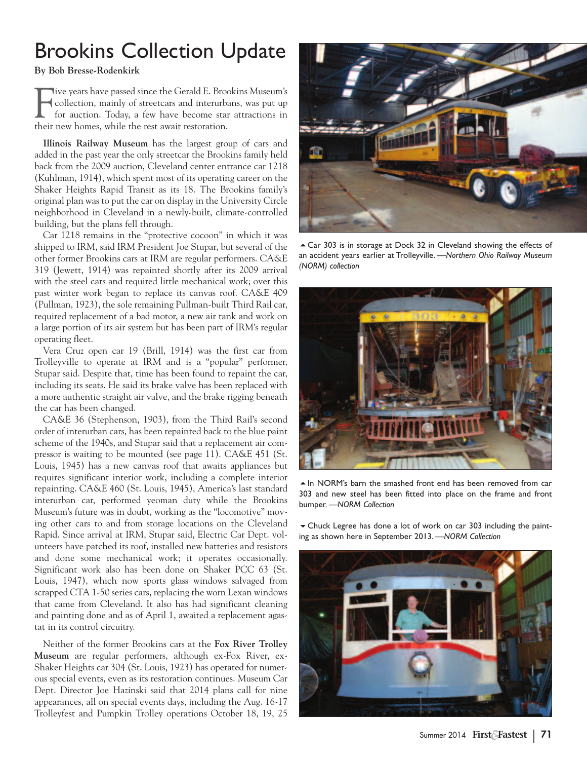## Brookins Collection Update

**By Bob Bresse-Rodenkirk**

F ive years have passed since the Gerald E. Brookins Museum's collection, mainly of streetcars and interurbans, was put up for auction. Today, a few have become star attractions in their new homes, while the rest await restoration.

**Illinois Railway Museum** has the largest group of cars and added in the past year the only streetcar the Brookins family held back from the 2009 auction, Cleveland center entrance car 1218 (Kuhlman, 1914), which spent most of its operating career on the Shaker Heights Rapid Transit as its 18. The Brookins family's original plan was to put the car on display in the University Circle neighborhood in Cleveland in a newly-built, climate-controlled building, but the plans fell through.

Car 1218 remains in the "protective cocoon" in which it was shipped to IRM, said IRM President Joe Stupar, but several of the other former Brookins cars at IRM are regular performers. CA&E 319 (Jewett, 1914) was repainted shortly after its 2009 arrival with the steel cars and required little mechanical work; over this past winter work began to replace its canvas roof. CA&E 409 (Pullman, 1923), the sole remaining Pullman-built Third Rail car, required replacement of a bad motor, a new air tank and work on a large portion of its air system but has been part of IRM's regular operating fleet.

Vera Cruz open car 19 (Brill, 1914) was the first car from Trolleyville to operate at IRM and is a "popular" performer, Stupar said. Despite that, time has been found to repaint the car, including its seats. He said its brake valve has been replaced with a more authentic straight air valve, and the brake rigging beneath the car has been changed.

CA&E 36 (Stephenson, 1903), from the Third Rail's second order of interurban cars, has been repainted back to the blue paint scheme of the 1940s, and Stupar said that a replacement air compressor is waiting to be mounted (see page 11). CA&E 451 (St. Louis, 1945) has a new canvas roof that awaits appliances but requires significant interior work, including a complete interior repainting. CA&E 460 (St. Louis, 1945), America's last standard interurban car, performed yeoman duty while the Brookins Museum's future was in doubt, working as the "locomotive" moving other cars to and from storage locations on the Cleveland Rapid. Since arrival at IRM, Stupar said, Electric Car Dept. volunteers have patched its roof, installed new batteries and resistors and done some mechanical work; it operates occasionally. Significant work also has been done on Shaker PCC 63 (St. Louis, 1947), which now sports glass windows salvaged from scrapped CTA 1-50 series cars, replacing the worn Lexan windows that came from Cleveland. It also has had significant cleaning and painting done and as of April 1, awaited a replacement agastat in its control circuitry.

Neither of the former Brookins cars at the **Fox River Trolley Museum** are regular performers, although ex-Fox River, ex-Shaker Heights car 304 (St. Louis, 1923) has operated for numerous special events, even as its restoration continues. Museum Car Dept. Director Joe Hazinski said that 2014 plans call for nine appearances, all on special events days, including the Aug. 16-17 Trolleyfest and Pumpkin Trolley operations October 18, 19, 25



► Car 303 is in storage at Dock 32 in Cleveland showing the effects of an accident years earlier at Trolleyville. *—Northern Ohio Railway Museum (NORM) collection*



 $\triangle$  In NORM's barn the smashed front end has been removed from car 303 and new steel has been fitted into place on the frame and front bumper. *—NORM Collection*

 $\blacktriangleright$  Chuck Legree has done a lot of work on car 303 including the painting as shown here in September 2013. *—NORM Collection*

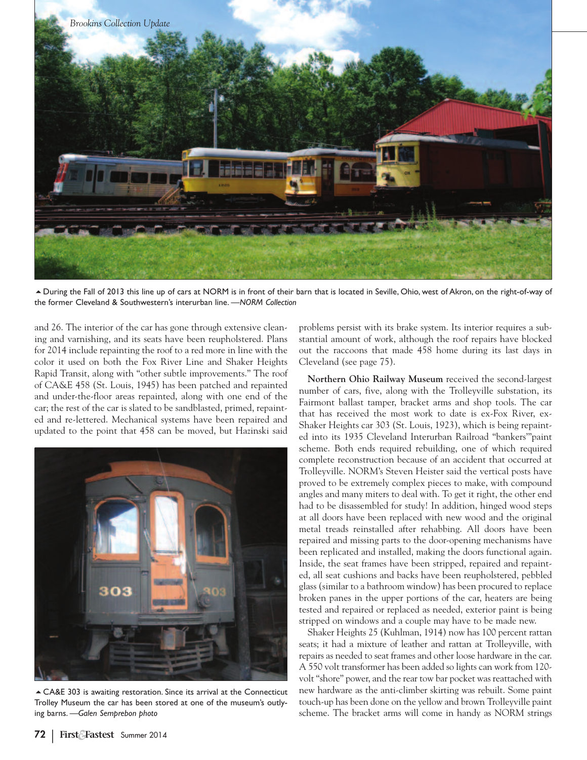

5During the Fall of 2013 this line up of cars at NORM is in front of their barn that is located in Seville, Ohio, west of Akron, on the right-of-way of the former Cleveland & Southwestern's interurban line. *—NORM Collection*

and 26. The interior of the car has gone through extensive cleaning and varnishing, and its seats have been reupholstered. Plans for 2014 include repainting the roof to a red more in line with the color it used on both the Fox River Line and Shaker Heights Rapid Transit, along with "other subtle improvements." The roof of CA&E 458 (St. Louis, 1945) has been patched and repainted and under-the-floor areas repainted, along with one end of the car; the rest of the car is slated to be sandblasted, primed, repainted and re-lettered. Mechanical systems have been repaired and updated to the point that 458 can be moved, but Hazinski said



5CA&E 303 is awaiting restoration. Since its arrival at the Connecticut Trolley Museum the car has been stored at one of the museum's outlying barns. *—Galen Semprebon photo*

problems persist with its brake system. Its interior requires a substantial amount of work, although the roof repairs have blocked out the raccoons that made 458 home during its last days in Cleveland (see page 75).

**Northern Ohio Railway Museum** received the second-largest number of cars, five, along with the Trolleyville substation, its Fairmont ballast tamper, bracket arms and shop tools. The car that has received the most work to date is ex-Fox River, ex-Shaker Heights car 303 (St. Louis, 1923), which is being repainted into its 1935 Cleveland Interurban Railroad "bankers'"paint scheme. Both ends required rebuilding, one of which required complete reconstruction because of an accident that occurred at Trolleyville. NORM's Steven Heister said the vertical posts have proved to be extremely complex pieces to make, with compound angles and many miters to deal with. To get it right, the other end had to be disassembled for study! In addition, hinged wood steps at all doors have been replaced with new wood and the original metal treads reinstalled after rehabbing. All doors have been repaired and missing parts to the door-opening mechanisms have been replicated and installed, making the doors functional again. Inside, the seat frames have been stripped, repaired and repainted, all seat cushions and backs have been reupholstered, pebbled glass (similar to a bathroom window) has been procured to replace broken panes in the upper portions of the car, heaters are being tested and repaired or replaced as needed, exterior paint is being stripped on windows and a couple may have to be made new.

Shaker Heights 25 (Kuhlman, 1914) now has 100 percent rattan seats; it had a mixture of leather and rattan at Trolleyville, with repairs as needed to seat frames and other loose hardware in the car. A 550 volt transformer has been added so lights can work from 120 volt "shore" power, and the rear tow bar pocket was reattached with new hardware as the anti-climber skirting was rebuilt. Some paint touch-up has been done on the yellow and brown Trolleyville paint scheme. The bracket arms will come in handy as NORM strings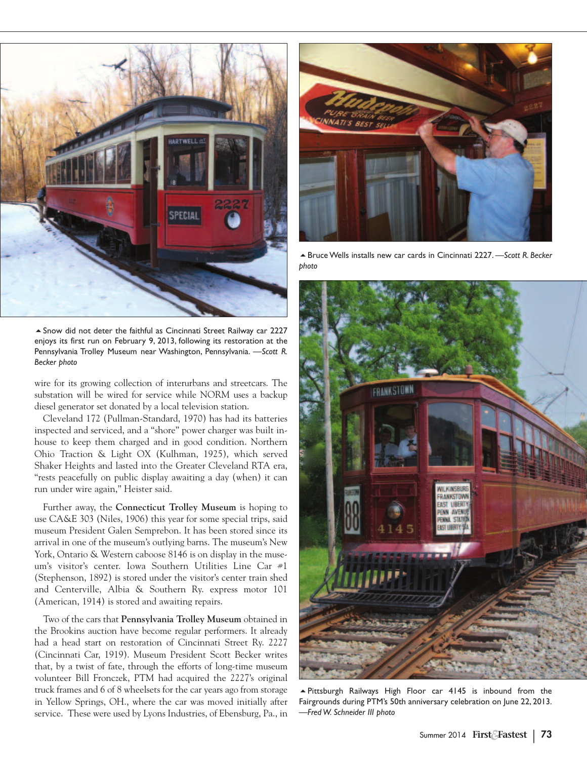

 $\triangle$  Snow did not deter the faithful as Cincinnati Street Railway car 2227 enjoys its first run on February 9, 2013, following its restoration at the Pennsylvania Trolley Museum near Washington, Pennsylvania. —*Scott R. Becker photo*

wire for its growing collection of interurbans and streetcars. The substation will be wired for service while NORM uses a backup diesel generator set donated by a local television station.

Cleveland 172 (Pullman-Standard, 1970) has had its batteries inspected and serviced, and a "shore" power charger was built inhouse to keep them charged and in good condition. Northern Ohio Traction & Light OX (Kulhman, 1925), which served Shaker Heights and lasted into the Greater Cleveland RTA era, "rests peacefully on public display awaiting a day (when) it can run under wire again," Heister said.

Further away, the **Connecticut Trolley Museum** is hoping to use CA&E 303 (Niles, 1906) this year for some special trips, said museum President Galen Semprebon. It has been stored since its arrival in one of the museum's outlying barns. The museum's New York, Ontario & Western caboose 8146 is on display in the museum's visitor's center. Iowa Southern Utilities Line Car #1 (Stephenson, 1892) is stored under the visitor's center train shed and Centerville, Albia & Southern Ry. express motor 101 (American, 1914) is stored and awaiting repairs.

Two of the cars that **Pennsylvania Trolley Museum** obtained in the Brookins auction have become regular performers. It already had a head start on restoration of Cincinnati Street Ry. 2227 (Cincinnati Car, 1919). Museum President Scott Becker writes that, by a twist of fate, through the efforts of long-time museum volunteer Bill Fronczek, PTM had acquired the 2227's original truck frames and 6 of 8 wheelsets for the car years ago from storage in Yellow Springs, OH., where the car was moved initially after service. These were used by Lyons Industries, of Ebensburg, Pa., in



5BruceWells installs new car cards in Cincinnati 2227. —*Scott R. Becker photo*



5Pittsburgh Railways High Floor car 4145 is inbound from the Fairgrounds during PTM's 50th anniversary celebration on June 22, 2013. *—Fred W. Schneider III photo*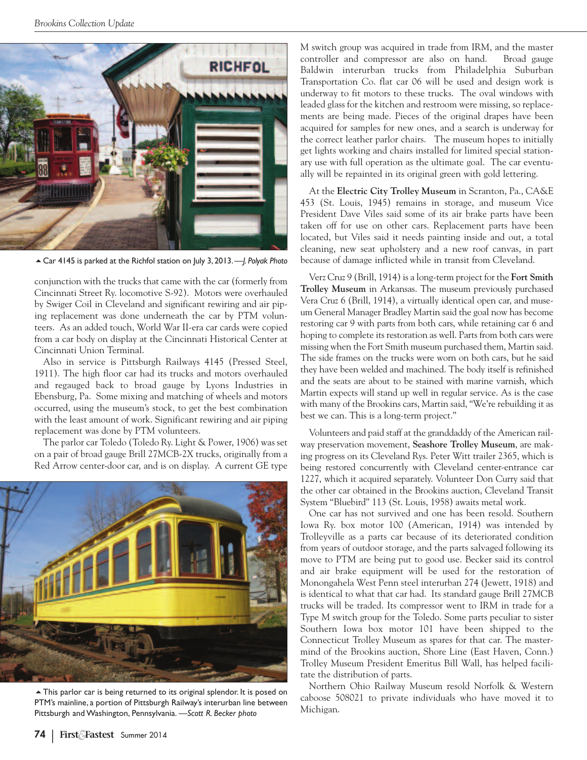

5Car 4145 is parked at the Richfol station on July 3, 2013.*—J. Polyak Photo*

conjunction with the trucks that came with the car (formerly from Cincinnati Street Ry. locomotive S-92). Motors were overhauled by Swiger Coil in Cleveland and significant rewiring and air piping replacement was done underneath the car by PTM volunteers. As an added touch, World War II-era car cards were copied from a car body on display at the Cincinnati Historical Center at Cincinnati Union Terminal.

Also in service is Pittsburgh Railways 4145 (Pressed Steel, 1911). The high floor car had its trucks and motors overhauled and regauged back to broad gauge by Lyons Industries in Ebensburg, Pa. Some mixing and matching of wheels and motors occurred, using the museum's stock, to get the best combination with the least amount of work. Significant rewiring and air piping replacement was done by PTM volunteers.

The parlor car Toledo (Toledo Ry. Light & Power, 1906) was set on a pair of broad gauge Brill 27MCB-2X trucks, originally from a Red Arrow center-door car, and is on display. A current GE type



 $\triangle$  This parlor car is being returned to its original splendor. It is posed on PTM's mainline, a portion of Pittsburgh Railway's interurban line between Pittsburgh and Washington, Pennsylvania. *—Scott R. Becker photo*

M switch group was acquired in trade from IRM, and the master controller and compressor are also on hand. Broad gauge Baldwin interurban trucks from Philadelphia Suburban Transportation Co. flat car 06 will be used and design work is underway to fit motors to these trucks. The oval windows with leaded glass for the kitchen and restroom were missing, so replacements are being made. Pieces of the original drapes have been acquired for samples for new ones, and a search is underway for the correct leather parlor chairs. The museum hopes to initially get lights working and chairs installed for limited special stationary use with full operation as the ultimate goal. The car eventually will be repainted in its original green with gold lettering.

At the **Electric City Trolley Museum** in Scranton, Pa., CA&E 453 (St. Louis, 1945) remains in storage, and museum Vice President Dave Viles said some of its air brake parts have been taken off for use on other cars. Replacement parts have been located, but Viles said it needs painting inside and out, a total cleaning, new seat upholstery and a new roof canvas, in part because of damage inflicted while in transit from Cleveland.

Verz Cruz 9 (Brill, 1914) is a long-term project for the **Fort Smith Trolley Museum** in Arkansas. The museum previously purchased Vera Cruz 6 (Brill, 1914), a virtually identical open car, and museum General Manager Bradley Martin said the goal now has become restoring car 9 with parts from both cars, while retaining car 6 and hoping to complete its restoration as well. Parts from both cars were missing when the Fort Smith museum purchased them, Martin said. The side frames on the trucks were worn on both cars, but he said they have been welded and machined. The body itself is refinished and the seats are about to be stained with marine varnish, which Martin expects will stand up well in regular service. As is the case with many of the Brookins cars, Martin said, "We're rebuilding it as best we can. This is a long-term project."

Volunteers and paid staff at the granddaddy of the American railway preservation movement, **Seashore Trolley Museum**, are making progress on its Cleveland Rys. Peter Witt trailer 2365, which is being restored concurrently with Cleveland center-entrance car 1227, which it acquired separately. Volunteer Don Curry said that the other car obtained in the Brookins auction, Cleveland Transit System "Bluebird" 113 (St. Louis, 1958) awaits metal work.

One car has not survived and one has been resold. Southern Iowa Ry. box motor 100 (American, 1914) was intended by Trolleyville as a parts car because of its deteriorated condition from years of outdoor storage, and the parts salvaged following its move to PTM are being put to good use. Becker said its control and air brake equipment will be used for the restoration of Monongahela West Penn steel interurban 274 (Jewett, 1918) and is identical to what that car had. Its standard gauge Brill 27MCB trucks will be traded. Its compressor went to IRM in trade for a Type M switch group for the Toledo. Some parts peculiar to sister Southern Iowa box motor 101 have been shipped to the Connecticut Trolley Museum as spares for that car. The mastermind of the Brookins auction, Shore Line (East Haven, Conn.) Trolley Museum President Emeritus Bill Wall, has helped facilitate the distribution of parts.

Northern Ohio Railway Museum resold Norfolk & Western caboose 508021 to private individuals who have moved it to Michigan.